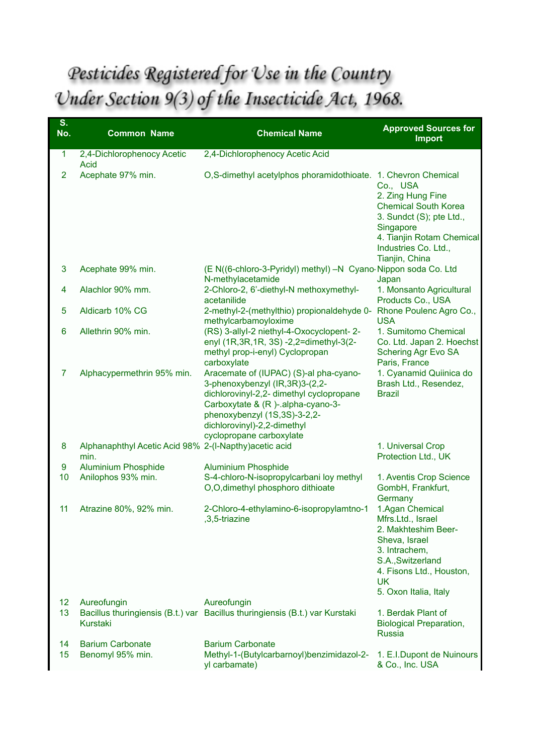## Pesticides Registered for Use in the Country Under Section 9(3) of the Insecticide Act, 1968.

| S.<br>No.      | <b>Common Name</b>                                             | <b>Chemical Name</b>                                                                                                                                                                                                                                    | <b>Approved Sources for</b><br><b>Import</b>                                                                                                                                         |
|----------------|----------------------------------------------------------------|---------------------------------------------------------------------------------------------------------------------------------------------------------------------------------------------------------------------------------------------------------|--------------------------------------------------------------------------------------------------------------------------------------------------------------------------------------|
| $\mathbf{1}$   | 2,4-Dichlorophenocy Acetic<br><b>Acid</b>                      | 2,4-Dichlorophenocy Acetic Acid                                                                                                                                                                                                                         |                                                                                                                                                                                      |
| $\overline{2}$ | Acephate 97% min.                                              | O,S-dimethyl acetylphos phoramidothioate. 1. Chevron Chemical                                                                                                                                                                                           | Co., USA<br>2. Zing Hung Fine<br><b>Chemical South Korea</b><br>3. Sundct (S); pte Ltd.,<br>Singapore<br>4. Tianjin Rotam Chemical<br>Industries Co. Ltd.,<br>Tianjin, China         |
| 3              | Acephate 99% min.                                              | (E N((6-chloro-3-Pyridyl) methyl) -N Cyano Nippon soda Co. Ltd<br>N-methylacetamide                                                                                                                                                                     | Japan                                                                                                                                                                                |
| 4              | Alachlor 90% mm.                                               | 2-Chloro-2, 6'-diethyl-N methoxymethyl-<br>acetanilide                                                                                                                                                                                                  | 1. Monsanto Agricultural<br>Products Co., USA                                                                                                                                        |
| 5              | Aldicarb 10% CG                                                | 2-methyl-2-(methylthio) propionaldehyde 0-<br>methylcarbamoyloxime                                                                                                                                                                                      | Rhone Poulenc Agro Co.,<br><b>USA</b>                                                                                                                                                |
| 6              | Allethrin 90% min.                                             | (RS) 3-allyl-2 niethyl-4-Oxocyclopent-2-<br>enyl (1R, 3R, 1R, 3S) - 2, 2 = dimethyl-3(2-<br>methyl prop-i-enyl) Cyclopropan<br>carboxylate                                                                                                              | 1. Sumitomo Chemical<br>Co. Ltd. Japan 2. Hoechst<br>Schering Agr Evo SA<br>Paris, France                                                                                            |
| $\overline{7}$ | Alphacypermethrin 95% min.                                     | Aracemate of (IUPAC) (S)-al pha-cyano-<br>3-phenoxybenzyl (IR, 3R) 3-(2, 2-<br>dichlorovinyl-2,2- dimethyl cyclopropane<br>Carboxytate & (R)-.alpha-cyano-3-<br>phenoxybenzyl (1S,3S)-3-2,2-<br>dichlorovinyl)-2,2-dimethyl<br>cyclopropane carboxylate | 1. Cyanamid Quiinica do<br>Brash Ltd., Resendez,<br><b>Brazil</b>                                                                                                                    |
| 8              | Alphanaphthyl Acetic Acid 98% 2-(I-Napthy) acetic acid<br>min. |                                                                                                                                                                                                                                                         | 1. Universal Crop<br>Protection Ltd., UK                                                                                                                                             |
| 9<br>10        | <b>Aluminium Phosphide</b><br>Anilophos 93% min.               | <b>Aluminium Phosphide</b><br>S-4-chloro-N-isopropylcarbani loy methyl<br>O,O,dimethyl phosphoro dithioate                                                                                                                                              | 1. Aventis Crop Science<br>GombH, Frankfurt,<br>Germany                                                                                                                              |
| 11             | Atrazine 80%, 92% min.                                         | 2-Chloro-4-ethylamino-6-isopropylamtno-1<br>3,5-triazine                                                                                                                                                                                                | 1.Agan Chemical<br>Mfrs.Ltd., Israel<br>2. Makhteshim Beer-<br>Sheva, Israel<br>3. Intrachem,<br>S.A., Switzerland<br>4. Fisons Ltd., Houston,<br><b>UK</b><br>5. Oxon Italia, Italy |
| 12<br>13       | Aureofungin                                                    | Aureofungin<br>Bacillus thuringiensis (B.t.) var Bacillus thuringiensis (B.t.) var Kurstaki                                                                                                                                                             | 1. Berdak Plant of                                                                                                                                                                   |
|                | Kurstaki                                                       |                                                                                                                                                                                                                                                         | <b>Biological Preparation,</b><br><b>Russia</b>                                                                                                                                      |
| 14<br>15       | <b>Barium Carbonate</b><br>Benomyl 95% min.                    | <b>Barium Carbonate</b><br>Methyl-1-(Butylcarbarnoyl)benzimidazol-2-                                                                                                                                                                                    | 1. E.I.Dupont de Nuinours                                                                                                                                                            |
|                |                                                                | yl carbamate)                                                                                                                                                                                                                                           | & Co., Inc. USA                                                                                                                                                                      |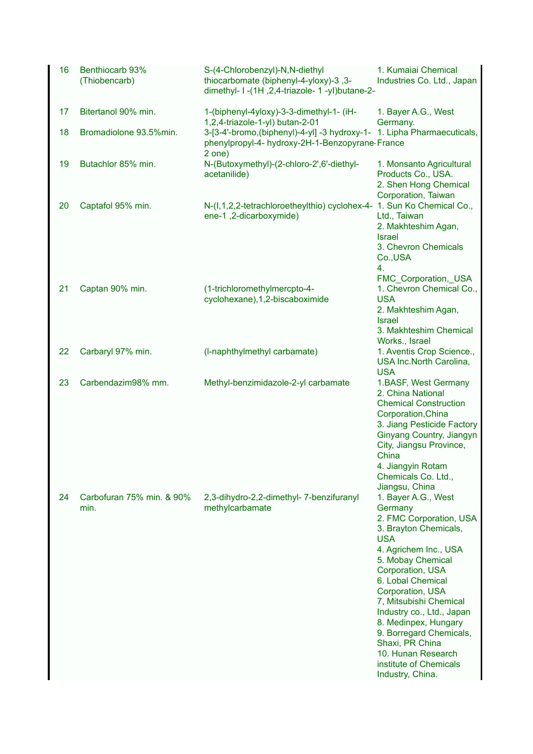| 16 | Benthiocarb 93%<br>(Thiobencarb)  | S-(4-Chlorobenzyl)-N,N-diethyl<br>thiocarbomate (biphenyl-4-yloxy)-3, 3-<br>dimethyl- I -(1H, 2,4-triazole- 1 -yl)butane-2-          | 1. Kumaiai Chemical<br>Industries Co. Ltd., Japan                                                                                                                                                                                                                                                                                                                                                            |
|----|-----------------------------------|--------------------------------------------------------------------------------------------------------------------------------------|--------------------------------------------------------------------------------------------------------------------------------------------------------------------------------------------------------------------------------------------------------------------------------------------------------------------------------------------------------------------------------------------------------------|
| 17 | Bitertanol 90% min.               | 1-(biphenyl-4yloxy)-3-3-dimethyl-1- (iH-<br>1,2,4-triazole-1-yl) butan-2-01                                                          | 1. Bayer A.G., West<br>Germany.                                                                                                                                                                                                                                                                                                                                                                              |
| 18 | Bromadiolone 93.5%min.            | 3-[3-4'-bromo, (biphenyl)-4-yl] -3 hydroxy-1- 1. Lipha Pharmaecuticals,<br>phenylpropyl-4- hydroxy-2H-1-Benzopyrane France<br>2 one) |                                                                                                                                                                                                                                                                                                                                                                                                              |
| 19 | Butachlor 85% min.                | N-(Butoxymethyl)-(2-chloro-2',6'-diethyl-<br>acetanilide)                                                                            | 1. Monsanto Agricultural<br>Products Co., USA.<br>2. Shen Hong Chemical<br>Corporation, Taiwan                                                                                                                                                                                                                                                                                                               |
| 20 | Captafol 95% min.                 | N-(I,1,2,2-tetrachloroetheylthio) cyclohex-4- 1. Sun Ko Chemical Co.,<br>ene-1,2-dicarboxymide)                                      | Ltd., Taiwan<br>2. Makhteshim Agan,<br><b>Israel</b><br>3. Chevron Chemicals<br>Co., USA<br>4.                                                                                                                                                                                                                                                                                                               |
| 21 | Captan 90% min.                   | (1-trichloromethylmercpto-4-<br>cyclohexane), 1, 2-biscaboximide                                                                     | FMC Corporation, USA<br>1. Chevron Chemical Co.,<br><b>USA</b><br>2. Makhteshim Agan,<br><b>Israel</b><br>3. Makhteshim Chemical                                                                                                                                                                                                                                                                             |
| 22 | Carbaryl 97% min.                 | (I-naphthylmethyl carbamate)                                                                                                         | Works., Israel<br>1. Aventis Crop Science.,<br>USA Inc.North Carolina,<br><b>USA</b>                                                                                                                                                                                                                                                                                                                         |
| 23 | Carbendazim98% mm.                | Methyl-benzimidazole-2-yl carbamate                                                                                                  | 1.BASF, West Germany<br>2. China National<br><b>Chemical Construction</b><br>Corporation, China<br>3. Jiang Pesticide Factory<br>Ginyang Country, Jiangyn<br>City, Jiangsu Province,<br>China<br>4. Jiangyin Rotam<br>Chemicals Co. Ltd.,<br>Jiangsu, China                                                                                                                                                  |
| 24 | Carbofuran 75% min. & 90%<br>min. | 2,3-dihydro-2,2-dimethyl-7-benzifuranyl<br>methylcarbamate                                                                           | 1. Bayer A.G., West<br>Germany<br>2. FMC Corporation, USA<br>3. Brayton Chemicals,<br><b>USA</b><br>4. Agrichem Inc., USA<br>5. Mobay Chemical<br>Corporation, USA<br>6. Lobal Chemical<br>Corporation, USA<br>7, Mitsubishi Chemical<br>Industry co., Ltd., Japan<br>8. Medinpex, Hungary<br>9. Borregard Chemicals,<br>Shaxi, PR China<br>10. Hunan Research<br>institute of Chemicals<br>Industry, China. |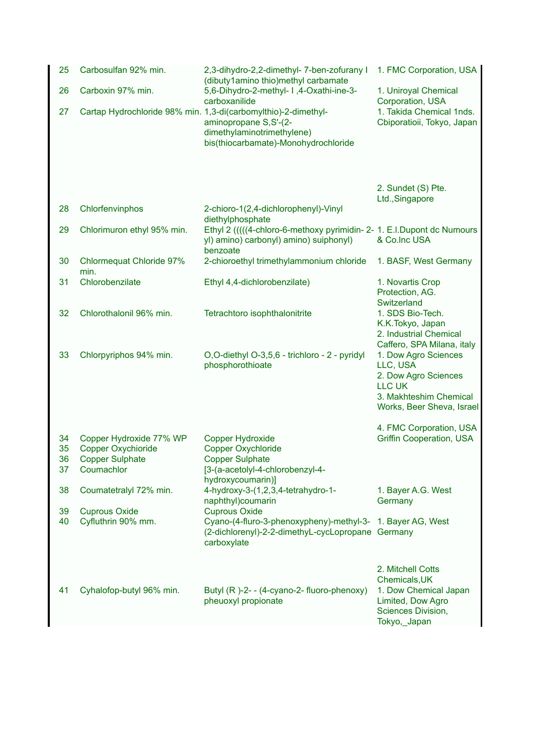| 25       | Carbosulfan 92% min.                    | 2,3-dihydro-2,2-dimethyl- 7-ben-zofurany I<br>(dibuty1amino thio)methyl carbamate                                                                              | 1. FMC Corporation, USA                                                                                                          |
|----------|-----------------------------------------|----------------------------------------------------------------------------------------------------------------------------------------------------------------|----------------------------------------------------------------------------------------------------------------------------------|
| 26       | Carboxin 97% min.                       | 5,6-Dihydro-2-methyl- I,4-Oxathi-ine-3-<br>carboxanilide                                                                                                       | 1. Uniroyal Chemical<br>Corporation, USA                                                                                         |
| 27       |                                         | Cartap Hydrochloride 98% min. 1,3-di(carbomylthio)-2-dimethyl-<br>aminopropane S, S'-(2-<br>dimethylaminotrimethylene)<br>bis(thiocarbamate)-Monohydrochloride | 1. Takida Chemical 1nds.<br>Cbiporatioii, Tokyo, Japan                                                                           |
| 28       | Chlorfenvinphos                         | 2-chioro-1(2,4-dichlorophenyl)-Vinyl                                                                                                                           | 2. Sundet (S) Pte.<br>Ltd., Singapore                                                                                            |
|          |                                         | diethylphosphate                                                                                                                                               |                                                                                                                                  |
| 29       | Chlorimuron ethyl 95% min.              | Ethyl 2 (((((4-chloro-6-methoxy pyrimidin- 2- 1. E.I.Dupont dc Numours<br>yl) amino) carbonyl) amino) suiphonyl)<br>benzoate                                   | & Co.Inc USA                                                                                                                     |
| 30       | <b>Chlormequat Chloride 97%</b><br>min. | 2-chioroethyl trimethylammonium chloride                                                                                                                       | 1. BASF, West Germany                                                                                                            |
| 31       | Chlorobenzilate                         | Ethyl 4,4-dichlorobenzilate)                                                                                                                                   | 1. Novartis Crop<br>Protection, AG.<br>Switzerland                                                                               |
| 32       | Chlorothalonil 96% min.                 | Tetrachtoro isophthalonitrite                                                                                                                                  | 1. SDS Bio-Tech.<br>K.K.Tokyo, Japan<br>2. Industrial Chemical<br>Caffero, SPA Milana, italy                                     |
| 33       | Chlorpyriphos 94% min.                  | O,O-diethyl O-3,5,6 - trichloro - 2 - pyridyl<br>phosphorothioate                                                                                              | 1. Dow Agro Sciences<br>LLC, USA<br>2. Dow Agro Sciences<br><b>LLC UK</b><br>3. Makhteshim Chemical<br>Works, Beer Sheva, Israel |
| 34       | Copper Hydroxide 77% WP                 | <b>Copper Hydroxide</b>                                                                                                                                        | 4. FMC Corporation, USA<br><b>Griffin Cooperation, USA</b>                                                                       |
| 35       | <b>Copper Oxychioride</b>               | <b>Copper Oxychloride</b>                                                                                                                                      |                                                                                                                                  |
| 36<br>37 | <b>Copper Sulphate</b><br>Coumachlor    | <b>Copper Sulphate</b><br>[3-(a-acetolyl-4-chlorobenzyl-4-                                                                                                     |                                                                                                                                  |
|          |                                         | hydroxycoumarin)]                                                                                                                                              |                                                                                                                                  |
| 38       | Coumatetralyl 72% min.                  | 4-hydroxy-3-(1,2,3,4-tetrahydro-1-<br>naphthyl)coumarin                                                                                                        | 1. Bayer A.G. West<br>Germany                                                                                                    |
| 39       | <b>Cuprous Oxide</b>                    | <b>Cuprous Oxide</b>                                                                                                                                           |                                                                                                                                  |
| 40       | Cyfluthrin 90% mm.                      | Cyano-(4-fluro-3-phenoxypheny)-methyl-3- 1. Bayer AG, West<br>(2-dichlorenyl)-2-2-dimethyL-cycLopropane Germany<br>carboxylate                                 |                                                                                                                                  |
|          |                                         |                                                                                                                                                                | 2. Mitchell Cotts<br>Chemicals, UK                                                                                               |
| 41       | Cyhalofop-butyl 96% min.                | Butyl (R)-2-- (4-cyano-2- fluoro-phenoxy)<br>pheuoxyl propionate                                                                                               | 1. Dow Chemical Japan<br>Limited, Dow Agro<br>Sciences Division,<br>Tokyo, Japan                                                 |
|          |                                         |                                                                                                                                                                |                                                                                                                                  |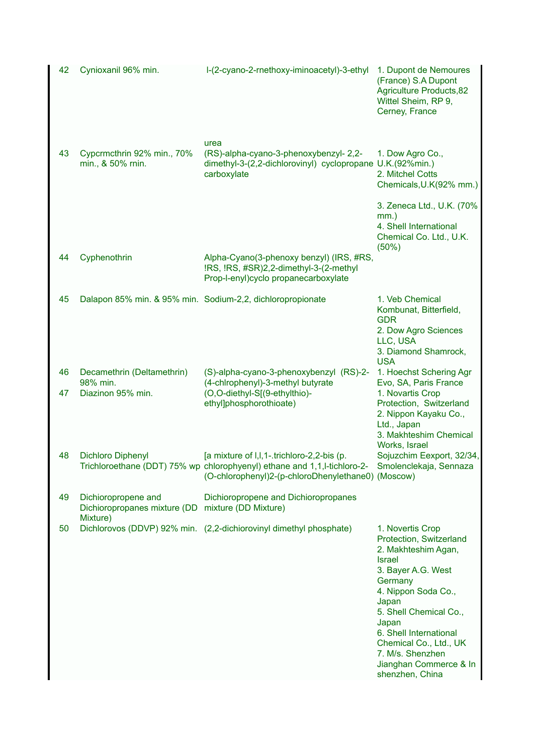| 42       | Cynioxanil 96% min.                                                                  | l-(2-cyano-2-rnethoxy-iminoacetyl)-3-ethyl                                                                                                                                                            | 1. Dupont de Nemoures<br>(France) S.A Dupont<br><b>Agriculture Products, 82</b><br>Wittel Sheim, RP 9,<br>Cerney, France                                                                                                                                                                                     |
|----------|--------------------------------------------------------------------------------------|-------------------------------------------------------------------------------------------------------------------------------------------------------------------------------------------------------|--------------------------------------------------------------------------------------------------------------------------------------------------------------------------------------------------------------------------------------------------------------------------------------------------------------|
| 43       | Cypcrmcthrin 92% min., 70%<br>min., & 50% rnin.                                      | urea<br>(RS)-alpha-cyano-3-phenoxybenzyl- 2,2-<br>dimethyl-3-(2,2-dichlorovinyl) cyclopropane U.K.(92%min.)<br>carboxylate                                                                            | 1. Dow Agro Co.,<br>2. Mitchel Cotts<br>Chemicals, U.K(92% mm.)                                                                                                                                                                                                                                              |
|          |                                                                                      |                                                                                                                                                                                                       | 3. Zeneca Ltd., U.K. (70%<br>$mm.$ )<br>4. Shell International<br>Chemical Co. Ltd., U.K.<br>$(50\%)$                                                                                                                                                                                                        |
| 44       | Cyphenothrin                                                                         | Alpha-Cyano(3-phenoxy benzyl) (IRS, #RS,<br>!RS, !RS, #SR)2,2-dimethyl-3-(2-methyl<br>Prop-l-enyl)cyclo propanecarboxylate                                                                            |                                                                                                                                                                                                                                                                                                              |
| 45       |                                                                                      | Dalapon 85% min. & 95% min. Sodium-2,2, dichloropropionate                                                                                                                                            | 1. Veb Chemical<br>Kombunat, Bitterfield,<br><b>GDR</b><br>2. Dow Agro Sciences<br>LLC, USA<br>3. Diamond Shamrock,<br><b>USA</b>                                                                                                                                                                            |
| 46<br>47 | Decamethrin (Deltamethrin)<br>98% min.<br>Diazinon 95% min.                          | (S)-alpha-cyano-3-phenoxybenzyl (RS)-2-<br>(4-chlrophenyl)-3-methyl butyrate<br>(O,O-diethyl-S[(9-ethylthio)-<br>ethyl]phosphorothioate)                                                              | 1. Hoechst Schering Agr<br>Evo, SA, Paris France<br>1. Novartis Crop<br>Protection, Switzerland<br>2. Nippon Kayaku Co.,<br>Ltd., Japan<br>3. Makhteshim Chemical<br>Works, Israel                                                                                                                           |
| 48       | <b>Dichloro Diphenyl</b>                                                             | [a mixture of I, I, 1-trichloro-2, 2-bis (p.<br>Trichloroethane (DDT) 75% wp chlorophyenyl) ethane and 1,1,l-tichloro-2- Smolenclekaja, Sennaza<br>(O-chlorophenyl)2-(p-chloroDhenylethane0) (Moscow) | Sojuzchim Eexport, 32/34,                                                                                                                                                                                                                                                                                    |
| 49       | Dichioropropene and<br>Dichioropropanes mixture (DD mixture (DD Mixture)<br>Mixture) | Dichioropropene and Dichioropropanes                                                                                                                                                                  |                                                                                                                                                                                                                                                                                                              |
| 50       |                                                                                      | Dichlorovos (DDVP) 92% min. (2,2-dichiorovinyl dimethyl phosphate)                                                                                                                                    | 1. Novertis Crop<br>Protection, Switzerland<br>2. Makhteshim Agan,<br><b>Israel</b><br>3. Bayer A.G. West<br>Germany<br>4. Nippon Soda Co.,<br>Japan<br>5. Shell Chemical Co.,<br>Japan<br>6. Shell International<br>Chemical Co., Ltd., UK<br>7. M/s. Shenzhen<br>Jianghan Commerce & In<br>shenzhen, China |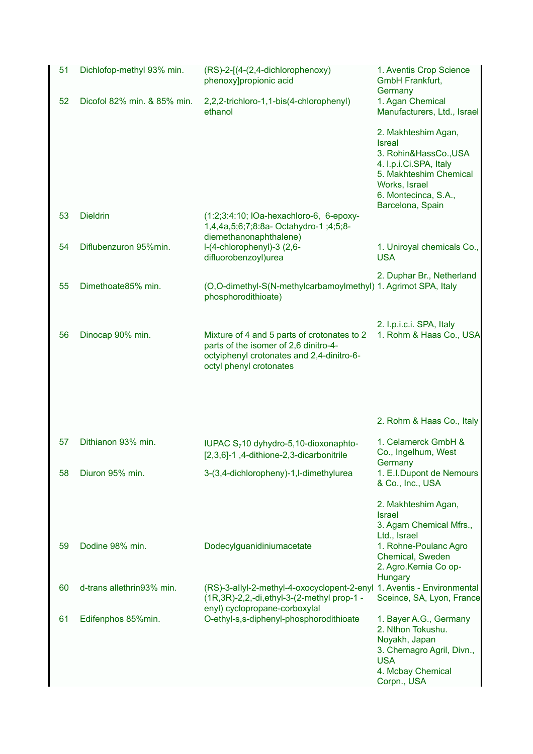| 51 | Dichlofop-methyl 93% min.   | (RS)-2-[(4-(2,4-dichlorophenoxy)<br>phenoxy]propionic acid                                                                                                   | 1. Aventis Crop Science<br>GmbH Frankfurt,<br>Germany                                                                                       |
|----|-----------------------------|--------------------------------------------------------------------------------------------------------------------------------------------------------------|---------------------------------------------------------------------------------------------------------------------------------------------|
| 52 | Dicofol 82% min. & 85% min. | 2,2,2-trichloro-1,1-bis(4-chlorophenyl)<br>ethanol                                                                                                           | 1. Agan Chemical<br>Manufacturers, Ltd., Israel                                                                                             |
|    |                             |                                                                                                                                                              | 2. Makhteshim Agan,<br><b>Isreal</b><br>3. Rohin&HassCo., USA<br>4. I.p.i.Ci.SPA, Italy                                                     |
|    |                             |                                                                                                                                                              | 5. Makhteshim Chemical<br>Works, Israel<br>6. Montecinca, S.A.,<br>Barcelona, Spain                                                         |
| 53 | <b>Dieldrin</b>             | (1:2;3:4:10; IOa-hexachloro-6, 6-epoxy-<br>1,4,4a,5;6;7;8:8a-Octahydro-1;4;5;8-<br>diemethanonaphthalene)                                                    |                                                                                                                                             |
| 54 | Diflubenzuron 95%min.       | l-(4-chlorophenyl)-3 (2,6-<br>difluorobenzoyl)urea                                                                                                           | 1. Uniroyal chemicals Co.,<br><b>USA</b>                                                                                                    |
| 55 | Dimethoate85% min.          | (O,O-dimethyl-S(N-methylcarbamoylmethyl) 1. Agrimot SPA, Italy<br>phosphorodithioate)                                                                        | 2. Duphar Br., Netherland                                                                                                                   |
| 56 | Dinocap 90% min.            | Mixture of 4 and 5 parts of crotonates to 2<br>parts of the isomer of 2,6 dinitro-4-<br>octyiphenyl crotonates and 2,4-dinitro-6-<br>octyl phenyl crotonates | 2. I.p.i.c.i. SPA, Italy<br>1. Rohm & Haas Co., USA                                                                                         |
|    |                             |                                                                                                                                                              | 2. Rohm & Haas Co., Italy                                                                                                                   |
| 57 | Dithianon 93% min.          | IUPAC $S_7$ 10 dyhydro-5,10-dioxonaphto-<br>[2,3,6]-1,4-dithione-2,3-dicarbonitrile                                                                          | 1. Celamerck GmbH &<br>Co., Ingelhum, West<br>Germany                                                                                       |
| 58 | Diuron 95% min.             | 3-(3,4-dichloropheny)-1,l-dimethylurea                                                                                                                       | 1. E.I.Dupont de Nemours<br>& Co., Inc., USA                                                                                                |
|    |                             |                                                                                                                                                              | 2. Makhteshim Agan,<br><b>Israel</b><br>3. Agam Chemical Mfrs.,<br>Ltd., Israel                                                             |
| 59 | Dodine 98% min.             | Dodecylguanidiniumacetate                                                                                                                                    | 1. Rohne-Poulanc Agro<br>Chemical, Sweden<br>2. Agro. Kernia Co op-<br>Hungary                                                              |
| 60 | d-trans allethrin93% min.   | (RS)-3-allyl-2-methyl-4-oxocyclopent-2-enyl 1. Aventis - Environmental<br>(1R, 3R)-2, 2, -di, ethyl-3-(2-methyl prop-1 -<br>enyl) cyclopropane-corboxylal    | Sceince, SA, Lyon, France                                                                                                                   |
| 61 | Edifenphos 85%min.          | O-ethyl-s,s-diphenyl-phosphorodithioate                                                                                                                      | 1. Bayer A.G., Germany<br>2. Nthon Tokushu.<br>Noyakh, Japan<br>3. Chemagro Agril, Divn.,<br><b>USA</b><br>4. Mcbay Chemical<br>Corpn., USA |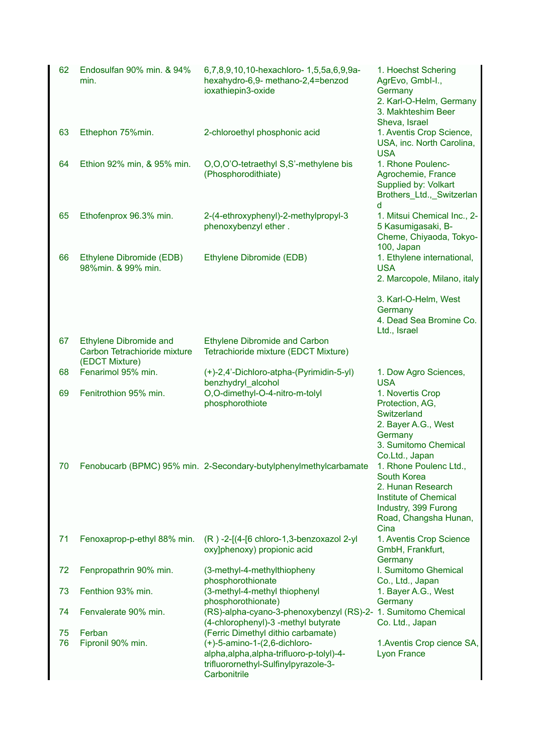| 62 | Endosulfan 90% min. & 94%<br>min.                                               | 6,7,8,9,10,10-hexachloro- 1,5,5a,6,9,9a-<br>hexahydro-6,9- methano-2,4=benzod<br>ioxathiepin3-oxide                                      | 1. Hoechst Schering<br>AgrEvo, Gmbl-I.,<br>Germany<br>2. Karl-O-Helm, Germany<br>3. Makhteshim Beer<br>Sheva, Israel                                |
|----|---------------------------------------------------------------------------------|------------------------------------------------------------------------------------------------------------------------------------------|-----------------------------------------------------------------------------------------------------------------------------------------------------|
| 63 | Ethephon 75%min.                                                                | 2-chloroethyl phosphonic acid                                                                                                            | 1. Aventis Crop Science,<br>USA, inc. North Carolina,<br><b>USA</b>                                                                                 |
| 64 | Ethion 92% min, & 95% min.                                                      | O,O,O'O-tetraethyl S,S'-methylene bis<br>(Phosphorodithiate)                                                                             | 1. Rhone Poulenc-<br>Agrochemie, France<br>Supplied by: Volkart<br>Brothers_Ltd.,_Switzerlan<br>d                                                   |
| 65 | Ethofenprox 96.3% min.                                                          | 2-(4-ethroxyphenyl)-2-methylpropyl-3<br>phenoxybenzyl ether.                                                                             | 1. Mitsui Chemical Inc., 2-<br>5 Kasumigasaki, B-<br>Cheme, Chiyaoda, Tokyo-<br>100, Japan                                                          |
| 66 | Ethylene Dibromide (EDB)<br>98%min. & 99% min.                                  | Ethylene Dibromide (EDB)                                                                                                                 | 1. Ethylene international,<br><b>USA</b><br>2. Marcopole, Milano, italy                                                                             |
|    |                                                                                 |                                                                                                                                          | 3. Karl-O-Helm, West<br>Germany<br>4. Dead Sea Bromine Co.<br>Ltd., Israel                                                                          |
| 67 | <b>Ethylene Dibromide and</b><br>Carbon Tetrachioride mixture<br>(EDCT Mixture) | <b>Ethylene Dibromide and Carbon</b><br>Tetrachioride mixture (EDCT Mixture)                                                             |                                                                                                                                                     |
| 68 | Fenarimol 95% min.                                                              | (+)-2,4'-Dichloro-atpha-(Pyrimidin-5-yl)<br>benzhydryl_alcohol                                                                           | 1. Dow Agro Sciences,<br><b>USA</b>                                                                                                                 |
| 69 | Fenitrothion 95% min.                                                           | O,O-dimethyl-O-4-nitro-m-tolyl<br>phosphorothiote                                                                                        | 1. Novertis Crop<br>Protection, AG,<br>Switzerland<br>2. Bayer A.G., West<br>Germany<br>3. Sumitomo Chemical<br>Co.Ltd., Japan                      |
| 70 |                                                                                 | Fenobucarb (BPMC) 95% min. 2-Secondary-butylphenylmethylcarbamate                                                                        | 1. Rhone Poulenc Ltd.,<br>South Korea<br>2. Hunan Research<br><b>Institute of Chemical</b><br>Industry, 399 Furong<br>Road, Changsha Hunan,<br>Cina |
| 71 | Fenoxaprop-p-ethyl 88% min.                                                     | (R) -2-[(4-[6 chloro-1,3-benzoxazol 2-yl<br>oxy]phenoxy) propionic acid                                                                  | 1. Aventis Crop Science<br>GmbH, Frankfurt,<br>Germany                                                                                              |
| 72 | Fenpropathrin 90% min.                                                          | (3-methyl-4-methylthiopheny<br>phosphorothionate                                                                                         | I. Sumitomo Ghemical<br>Co., Ltd., Japan                                                                                                            |
| 73 | Fenthion 93% min.                                                               | (3-methyl-4-methyl thiophenyl<br>phosphorothionate)                                                                                      | 1. Bayer A.G., West<br>Germany                                                                                                                      |
| 74 | Fenvalerate 90% min.                                                            | (RS)-alpha-cyano-3-phenoxybenzyl (RS)-2- 1. Sumitomo Chemical<br>(4-chlorophenyl)-3 -methyl butyrate                                     | Co. Ltd., Japan                                                                                                                                     |
| 75 | Ferban                                                                          | (Ferric Dimethyl dithio carbamate)                                                                                                       |                                                                                                                                                     |
| 76 | Fipronil 90% min.                                                               | $(+)$ -5-amino-1- $(2,6$ -dichloro-<br>alpha, alpha, alpha-trifluoro-p-tolyl)-4-<br>trifluorornethyl-Sulfinylpyrazole-3-<br>Carbonitrile | 1. Aventis Crop cience SA,<br><b>Lyon France</b>                                                                                                    |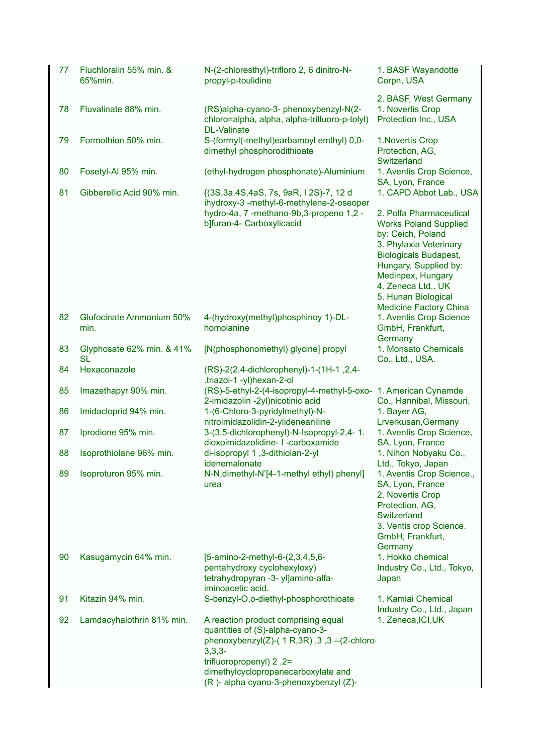| 77 | Fluchloralin 55% min. &<br>65%min.     | N-(2-chloresthyl)-trifloro 2, 6 dinitro-N-<br>propyl-p-toulidine                                                                                                                                                                                  | 1. BASF Wayandotte<br>Corpn, USA                                                                                                                                                                                                                          |
|----|----------------------------------------|---------------------------------------------------------------------------------------------------------------------------------------------------------------------------------------------------------------------------------------------------|-----------------------------------------------------------------------------------------------------------------------------------------------------------------------------------------------------------------------------------------------------------|
| 78 | Fluvalinate 88% min.                   | (RS)alpha-cyano-3- phenoxybenzyl-N(2-<br>chloro=alpha, alpha, alpha-tritluoro-p-tolyl)<br><b>DL-Valinate</b>                                                                                                                                      | 2. BASF, West Germany<br>1. Novertis Crop<br>Protection Inc., USA                                                                                                                                                                                         |
| 79 | Formothion 50% min.                    | S-(forrnyl(-methyl)earbamoyl emthyl) 0,0-<br>dimethyl phosphorodithioate                                                                                                                                                                          | 1. Novertis Crop<br>Protection, AG,<br>Switzerland                                                                                                                                                                                                        |
| 80 | Fosetyl-Al 95% min.                    | (ethyl-hydrogen phosphonate)-Aluminium                                                                                                                                                                                                            | 1. Aventis Crop Science,                                                                                                                                                                                                                                  |
| 81 | Gibberellic Acid 90% min.              | {(3S, 3a.4S, 4aS, 7s, 9aR, 12S)-7, 12 d<br>ihydroxy-3 -methyl-6-methylene-2-oseoper<br>hydro-4a, 7 -rnethano-9b, 3-propeno 1, 2 -<br>b]furan-4- Carboxylicacid                                                                                    | SA, Lyon, France<br>1. CAPD Abbot Lab., USA<br>2. Polfa Pharmaceutical<br><b>Works Poland Supplied</b><br>by: Ceich, Poland<br>3. Phylaxia Veterinary<br><b>Biologicals Budapest,</b><br>Hungary, Supplied by:<br>Medinpex, Hungary<br>4. Zeneca Ltd., UK |
|    |                                        |                                                                                                                                                                                                                                                   | 5. Hunan Biological<br><b>Medicine Factory China</b>                                                                                                                                                                                                      |
| 82 | Glufocinate Ammonium 50%<br>min.       | 4-(hydroxy(methyl)phosphinoy 1)-DL-<br>homolanine                                                                                                                                                                                                 | 1. Aventis Crop Science<br>GmbH, Frankfurt,<br>Germany                                                                                                                                                                                                    |
| 83 | Glyphosate 62% min. & 41%<br><b>SL</b> | [N(phosphonomethyl) glycine] propyl                                                                                                                                                                                                               | 1. Monsato Chemicals<br>Co., Ltd., USA.                                                                                                                                                                                                                   |
| 84 | Hexaconazole                           | (RS)-2(2,4-dichlorophenyl)-1-(1H-1, 2,4-<br>.triazol-1 -yl)hexan-2-ol                                                                                                                                                                             |                                                                                                                                                                                                                                                           |
| 85 | Imazethapyr 90% min.                   | (RS)-5-ethyl-2-(4-isopropyl-4-methyl-5-oxo-<br>2-imidazolin -2yl)nicotinic acid                                                                                                                                                                   | 1. American Cynamde<br>Co., Hannibal, Missouri,                                                                                                                                                                                                           |
| 86 | Imidacloprid 94% min.                  | 1-(6-Chloro-3-pyridylmethyl)-N-<br>nitroimidazolidin-2-ylideneaniline                                                                                                                                                                             | 1. Bayer AG,<br>Lrverkusan, Germany                                                                                                                                                                                                                       |
| 87 | Iprodione 95% min.                     | 3-(3,5-dichlorophenyl)-N-Isopropyl-2,4-1.<br>dioxoimidazolidine- I -carboxamide                                                                                                                                                                   | 1. Aventis Crop Science,<br>SA, Lyon, France                                                                                                                                                                                                              |
| 88 | Isoprothiolane 96% min.                | di-isopropyl 1,3-dithiolan-2-yl<br>idenemalonate                                                                                                                                                                                                  | 1. Nihon Nobyaku Co.,<br>Ltd., Tokyo, Japan                                                                                                                                                                                                               |
| 89 | Isoproturon 95% min.                   | N-N, dimethyl-N'[4-1-methyl ethyl) phenyl]<br>urea                                                                                                                                                                                                | 1. Aventis Crop Science.,<br>SA, Lyon, France<br>2. Novertis Crop<br>Protection, AG,<br>Switzerland<br>3. Ventis crop Science.<br>GmbH, Frankfurt,<br>Germany                                                                                             |
| 90 | Kasugamycin 64% min.                   | [5-amino-2-methyl-6-(2,3,4,5,6-<br>pentahydroxy cyclohexyloxy)<br>tetrahydropyran -3- yl]amino-alfa-<br>iminoacetic acid.                                                                                                                         | 1. Hokko chemical<br>Industry Co., Ltd., Tokyo,<br>Japan                                                                                                                                                                                                  |
| 91 | Kitazin 94% min.                       | S-benzyl-O,o-diethyl-phosphorothioate                                                                                                                                                                                                             | 1. Kamiai Chemical<br>Industry Co., Ltd., Japan                                                                                                                                                                                                           |
| 92 | Lamdacyhalothrin 81% min.              | A reaction product comprising equal<br>quantities of (S)-alpha-cyano-3-<br>phenoxybenzyl(Z)-( $1 R, 3R$ ), 3, 3--(2-chloro<br>$3,3,3-$<br>trifluoropropenyl) 2.2=<br>dimethylcyclopropanecarboxylate and<br>(R)- alpha cyano-3-phenoxybenzyl (Z)- | 1. Zeneca, ICI, UK                                                                                                                                                                                                                                        |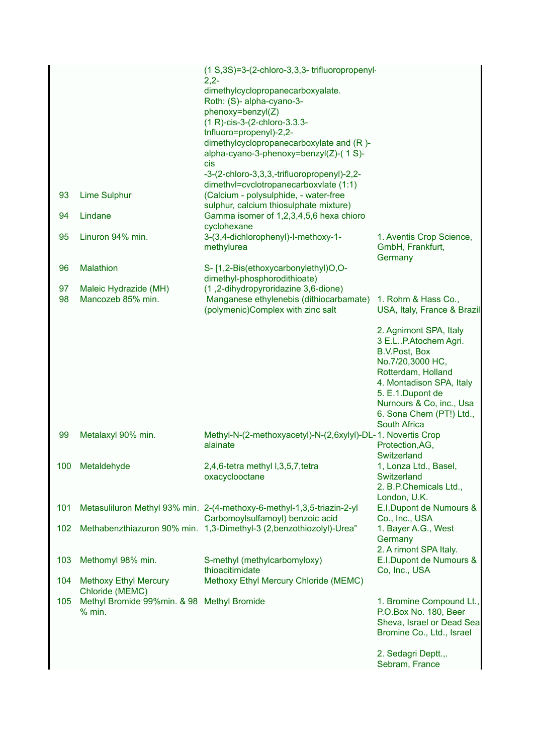|     |                                                 | (1 S, 3S) = 3-(2-chloro-3, 3, 3-trifluoropropenyl                               |                                                         |
|-----|-------------------------------------------------|---------------------------------------------------------------------------------|---------------------------------------------------------|
|     |                                                 | $2,2-$<br>dimethylcyclopropanecarboxyalate.                                     |                                                         |
|     |                                                 | Roth: (S)- alpha-cyano-3-                                                       |                                                         |
|     |                                                 | phenoxy=benzyl(Z)                                                               |                                                         |
|     |                                                 | (1 R)-cis-3-(2-chloro-3.3.3-<br>tnfluoro=propenyl)-2,2-                         |                                                         |
|     |                                                 | dimethylcyclopropanecarboxylate and (R)-                                        |                                                         |
|     |                                                 | alpha-cyano-3-phenoxy=benzyl(Z)-(1S)-<br>cis                                    |                                                         |
|     |                                                 | -3-(2-chloro-3,3,3,-trifluoropropenyl)-2,2-                                     |                                                         |
|     |                                                 | dimethvl=cvclotropanecarboxvlate (1:1)                                          |                                                         |
| 93  | <b>Lime Sulphur</b>                             | (Calcium - polysulphide, - water-free<br>sulphur, calcium thiosulphate mixture) |                                                         |
| 94  | Lindane                                         | Gamma isomer of 1,2,3,4,5,6 hexa chioro                                         |                                                         |
|     |                                                 | cyclohexane                                                                     |                                                         |
| 95  | Linuron 94% min.                                | 3-(3,4-dichlorophenyl)-l-methoxy-1-<br>methylurea                               | 1. Aventis Crop Science,<br>GmbH, Frankfurt,<br>Germany |
| 96  | <b>Malathion</b>                                | S-[1,2-Bis(ethoxycarbonylethyl)O,O-                                             |                                                         |
|     |                                                 | dimethyl-phosphorodithioate)                                                    |                                                         |
| 97  | Maleic Hydrazide (MH)                           | (1,2-dihydropyroridazine 3,6-dione)                                             |                                                         |
| 98  | Mancozeb 85% min.                               | Manganese ethylenebis (dithiocarbamate)<br>(polymenic)Complex with zinc salt    | 1. Rohm & Hass Co.,<br>USA, Italy, France & Brazil      |
|     |                                                 |                                                                                 | 2. Agnimont SPA, Italy                                  |
|     |                                                 |                                                                                 | 3 E.LP.Atochem Agri.                                    |
|     |                                                 |                                                                                 | <b>B.V.Post, Box</b>                                    |
|     |                                                 |                                                                                 | No.7/20,3000 HC,<br>Rotterdam, Holland                  |
|     |                                                 |                                                                                 | 4. Montadison SPA, Italy                                |
|     |                                                 |                                                                                 | 5. E.1. Dupont de                                       |
|     |                                                 |                                                                                 | Nurnours & Co, inc., Usa                                |
|     |                                                 |                                                                                 | 6. Sona Chem (PT!) Ltd.,<br><b>South Africa</b>         |
| 99  | Metalaxyl 90% min.                              | Methyl-N-(2-methoxyacetyl)-N-(2,6xylyl)-DL-1. Novertis Crop                     |                                                         |
|     |                                                 | alainate                                                                        | Protection, AG,                                         |
|     |                                                 |                                                                                 | Switzerland                                             |
| 100 | Metaldehyde                                     | 2,4,6-tetra methyl I,3,5,7,tetra                                                | 1, Lonza Ltd., Basel,                                   |
|     |                                                 | oxacyclooctane                                                                  | Switzerland<br>2. B.P.Chemicals Ltd.,                   |
|     |                                                 |                                                                                 | London, U.K.                                            |
| 101 |                                                 | Metasuliluron Methyl 93% min. 2-(4-methoxy-6-methyl-1,3,5-triazin-2-yl          | E.I.Dupont de Numours &                                 |
|     |                                                 | Carbomoylsulfamoyl) benzoic acid                                                | Co., Inc., USA                                          |
| 102 |                                                 | Methabenzthiazuron 90% min. 1,3-Dimethyl-3 (2,benzothiozolyl)-Urea"             | 1. Bayer A.G., West                                     |
|     |                                                 |                                                                                 | Germany<br>2. A rimont SPA Italy.                       |
| 103 | Methomyl 98% min.                               | S-methyl (methylcarbomyloxy)                                                    | E.I.Dupont de Numours &                                 |
|     |                                                 | thioacitimidate                                                                 | Co, Inc., USA                                           |
| 104 | <b>Methoxy Ethyl Mercury</b><br>Chloride (MEMC) | Methoxy Ethyl Mercury Chloride (MEMC)                                           |                                                         |
| 105 | Methyl Bromide 99%min. & 98 Methyl Bromide      |                                                                                 | 1. Bromine Compound Lt.,                                |
|     | % min.                                          |                                                                                 | P.O.Box No. 180, Beer<br>Sheva, Israel or Dead Sea      |
|     |                                                 |                                                                                 | Bromine Co., Ltd., Israel                               |
|     |                                                 |                                                                                 |                                                         |
|     |                                                 |                                                                                 | 2. Sedagri Deptt.,.<br>Sebram, France                   |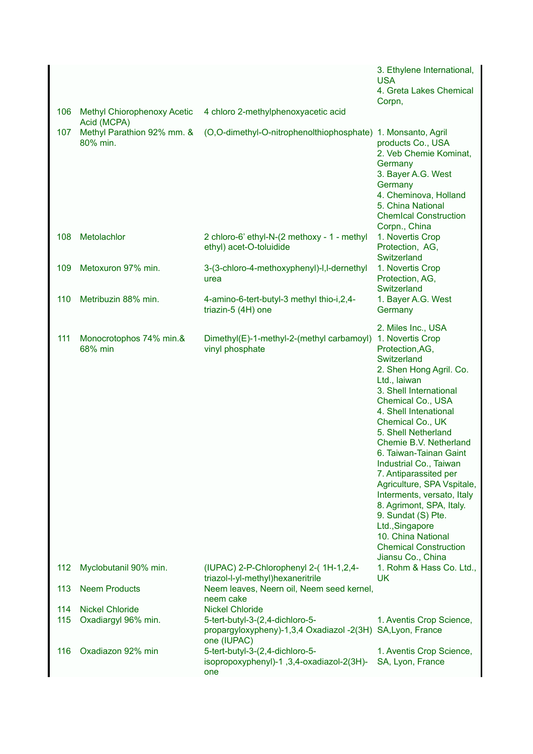|            |                                                   |                                                                                                                                       | 3. Ethylene International,<br><b>USA</b><br>4. Greta Lakes Chemical<br>Corpn,                                                                                                                                                                                                                                                                                                                                                                                                                                                                             |
|------------|---------------------------------------------------|---------------------------------------------------------------------------------------------------------------------------------------|-----------------------------------------------------------------------------------------------------------------------------------------------------------------------------------------------------------------------------------------------------------------------------------------------------------------------------------------------------------------------------------------------------------------------------------------------------------------------------------------------------------------------------------------------------------|
| 106        | <b>Methyl Chiorophenoxy Acetic</b><br>Acid (MCPA) | 4 chloro 2-methylphenoxyacetic acid                                                                                                   |                                                                                                                                                                                                                                                                                                                                                                                                                                                                                                                                                           |
| 107        | Methyl Parathion 92% mm. &<br>80% min.            | (O,O-dimethyl-O-nitrophenolthiophosphate) 1. Monsanto, Agril                                                                          | products Co., USA<br>2. Veb Chemie Kominat,<br>Germany<br>3. Bayer A.G. West<br>Germany<br>4. Cheminova, Holland<br>5. China National<br><b>Chemical Construction</b><br>Corpn., China                                                                                                                                                                                                                                                                                                                                                                    |
| 108        | Metolachlor                                       | 2 chloro-6' ethyl-N-(2 methoxy - 1 - methyl<br>ethyl) acet-O-toluidide                                                                | 1. Novertis Crop<br>Protection, AG,<br>Switzerland                                                                                                                                                                                                                                                                                                                                                                                                                                                                                                        |
| 109        | Metoxuron 97% min.                                | 3-(3-chloro-4-methoxyphenyl)-I,I-dernethyl<br>urea                                                                                    | 1. Novertis Crop<br>Protection, AG,<br>Switzerland                                                                                                                                                                                                                                                                                                                                                                                                                                                                                                        |
| 110        | Metribuzin 88% min.                               | 4-amino-6-tert-butyl-3 methyl thio-i, 2, 4-<br>triazin-5 (4H) one                                                                     | 1. Bayer A.G. West<br>Germany                                                                                                                                                                                                                                                                                                                                                                                                                                                                                                                             |
| 111        | Monocrotophos 74% min.&<br>68% min                | Dimethyl(E)-1-methyl-2-(methyl carbamoyl)<br>vinyl phosphate                                                                          | 2. Miles Inc., USA<br>1. Novertis Crop<br>Protection, AG,<br>Switzerland<br>2. Shen Hong Agril. Co.<br>Ltd., laiwan<br>3. Shell International<br>Chemical Co., USA<br>4. Shell Intenational<br>Chemical Co., UK<br>5. Shell Netherland<br>Chemie B.V. Netherland<br>6. Taiwan-Tainan Gaint<br>Industrial Co., Taiwan<br>7. Antiparassited per<br>Agriculture, SPA Vspitale,<br>Interments, versato, Italy<br>8. Agrimont, SPA, Italy.<br>9. Sundat (S) Pte.<br>Ltd., Singapore<br>10. China National<br><b>Chemical Construction</b><br>Jiansu Co., China |
| 112        | Myclobutanil 90% min.                             | (IUPAC) 2-P-Chlorophenyl 2-(1H-1,2,4-<br>triazol-l-yl-methyl)hexaneritrile                                                            | 1. Rohm & Hass Co. Ltd.,<br><b>UK</b>                                                                                                                                                                                                                                                                                                                                                                                                                                                                                                                     |
| 113        | <b>Neem Products</b>                              | Neem leaves, Neern oil, Neem seed kernel,<br>neem cake                                                                                |                                                                                                                                                                                                                                                                                                                                                                                                                                                                                                                                                           |
| 114<br>115 | <b>Nickel Chloride</b><br>Oxadiargyl 96% min.     | <b>Nickel Chloride</b><br>5-tert-butyl-3-(2,4-dichloro-5-<br>propargyloxypheny)-1,3,4 Oxadiazol -2(3H) SA,Lyon, France<br>one (IUPAC) | 1. Aventis Crop Science,                                                                                                                                                                                                                                                                                                                                                                                                                                                                                                                                  |
| 116        | Oxadiazon 92% min                                 | 5-tert-butyl-3-(2,4-dichloro-5-<br>isopropoxyphenyl)-1,3,4-oxadiazol-2(3H)-<br>one                                                    | 1. Aventis Crop Science,<br>SA, Lyon, France                                                                                                                                                                                                                                                                                                                                                                                                                                                                                                              |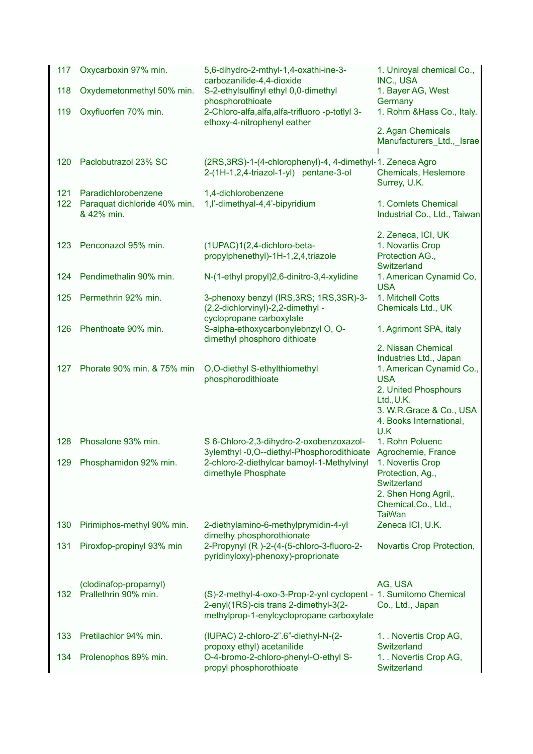| 117        | Oxycarboxin 97% min.                                              | 5,6-dihydro-2-mthyl-1,4-oxathi-ine-3-<br>carbozanilide-4,4-dioxide                                                                | 1. Uniroyal chemical Co.,<br>INC., USA                                                                              |
|------------|-------------------------------------------------------------------|-----------------------------------------------------------------------------------------------------------------------------------|---------------------------------------------------------------------------------------------------------------------|
| 118        | Oxydemetonmethyl 50% min.                                         | S-2-ethylsulfinyl ethyl 0,0-dimethyl<br>phosphorothioate                                                                          | 1. Bayer AG, West<br>Germany                                                                                        |
| 119        | Oxyfluorfen 70% min.                                              | 2-Chloro-alfa, alfa, alfa-trifluoro -p-totlyl 3-<br>ethoxy-4-nitrophenyl eather                                                   | 1. Rohm & Hass Co., Italy.                                                                                          |
|            |                                                                   |                                                                                                                                   | 2. Agan Chemicals<br>Manufacturers_Ltd.,_Israe                                                                      |
| 120        | Paclobutrazol 23% SC                                              | (2RS, 3RS)-1-(4-chlorophenyl)-4, 4-dimethyl-1. Zeneca Agro<br>2-(1H-1,2,4-triazol-1-yl) pentane-3-ol                              | Chemicals, Heslemore<br>Surrey, U.K.                                                                                |
| 121<br>122 | Paradichlorobenzene<br>Paraquat dichloride 40% min.<br>& 42% min. | 1,4-dichlorobenzene<br>1, l'-dimethyal-4, 4'-bipyridium                                                                           | 1. Comlets Chemical<br>Industrial Co., Ltd., Taiwan                                                                 |
| 123        | Penconazol 95% min.                                               | (1UPAC)1(2,4-dichloro-beta-<br>propylphenethyl)-1H-1,2,4,triazole                                                                 | 2. Zeneca, ICI, UK<br>1. Novartis Crop<br>Protection AG.,<br>Switzerland                                            |
| 124        | Pendimethalin 90% min.                                            | N-(1-ethyl propyl)2,6-dinitro-3,4-xylidine                                                                                        | 1. American Cynamid Co,<br><b>USA</b>                                                                               |
| 125        | Permethrin 92% min.                                               | 3-phenoxy benzyl (IRS, 3RS; 1RS, 3SR)-3-<br>(2,2-dichlorvinyl)-2,2-dimethyl -                                                     | 1. Mitchell Cotts<br>Chemicals Ltd., UK                                                                             |
| 126        | Phenthoate 90% min.                                               | cyclopropane carboxylate<br>S-alpha-ethoxycarbonylebnzyl O, O-<br>dimethyl phosphoro dithioate                                    | 1. Agrimont SPA, italy                                                                                              |
|            |                                                                   |                                                                                                                                   | 2. Nissan Chemical<br>Industries Ltd., Japan                                                                        |
| 127        | Phorate 90% min. & 75% min                                        | O,O-diethyl S-ethylthiomethyl<br>phosphorodithioate                                                                               | 1. American Cynamid Co.,<br><b>USA</b><br>2. United Phosphours<br>$Ltd.$ , U.K.                                     |
|            |                                                                   |                                                                                                                                   | 3. W.R.Grace & Co., USA<br>4. Books International,<br>U.K                                                           |
| 128        | Phosalone 93% min.                                                | S 6-Chloro-2,3-dihydro-2-oxobenzoxazol-<br>3ylemthyl -0,O--diethyl-Phosphorodithioate                                             | 1. Rohn Poluenc<br>Agrochemie, France                                                                               |
|            | 129 Phosphamidon 92% min.                                         | 2-chloro-2-diethylcar bamoyl-1-Methylvinyl<br>dimethyle Phosphate                                                                 | 1. Novertis Crop<br>Protection, Ag.,<br>Switzerland<br>2. Shen Hong Agril,.<br>Chemical.Co., Ltd.,<br><b>TaiWan</b> |
| 130        | Pirimiphos-methyl 90% min.                                        | 2-diethylamino-6-methylprymidin-4-yl<br>dimethy phosphorothionate                                                                 | Zeneca ICI, U.K.                                                                                                    |
| 131        | Piroxfop-propinyl 93% min                                         | 2-Propynyl (R)-2-(4-(5-chloro-3-fluoro-2-<br>pyridinyloxy)-phenoxy)-proprionate                                                   | Novartis Crop Protection,                                                                                           |
| 132        | (clodinafop-proparnyl)<br>Prallethrin 90% min.                    | (S)-2-methyl-4-oxo-3-Prop-2-ynl cyclopent -<br>2-enyl(1RS)-cis trans 2-dimethyl-3(2-<br>methylprop-1-enylcyclopropane carboxylate | AG, USA<br>1. Sumitomo Chemical<br>Co., Ltd., Japan                                                                 |
| 133        | Pretilachlor 94% min.                                             | (IUPAC) 2-chloro-2".6"-diethyl-N-(2-<br>propoxy ethyl) acetanilide                                                                | 1. Novertis Crop AG,<br>Switzerland                                                                                 |
| 134        | Prolenophos 89% min.                                              | O-4-bromo-2-chloro-phenyl-O-ethyl S-<br>propyl phosphorothioate                                                                   | 1. Novertis Crop AG,<br>Switzerland                                                                                 |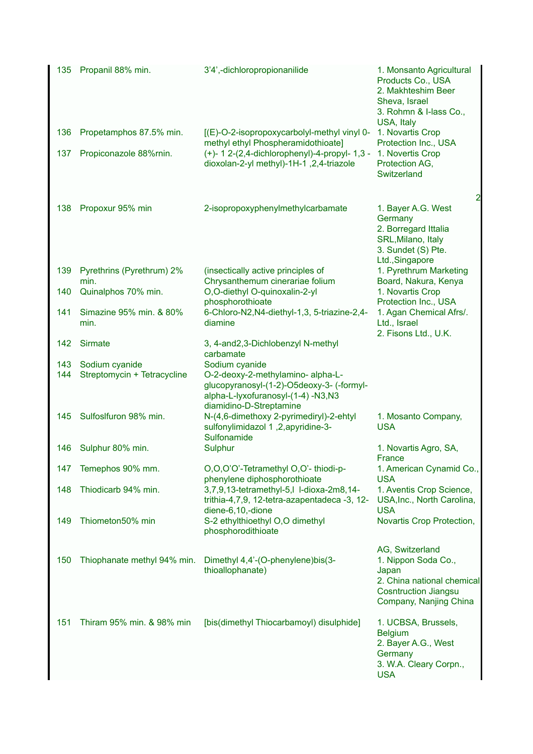| 135        | Propanil 88% min.                             | 3'4',-dichloropropionanilide                                                                                                                                      | 1. Monsanto Agricultural<br>Products Co., USA<br>2. Makhteshim Beer<br>Sheva, Israel<br>3. Rohmn & I-lass Co.,                         |
|------------|-----------------------------------------------|-------------------------------------------------------------------------------------------------------------------------------------------------------------------|----------------------------------------------------------------------------------------------------------------------------------------|
| 136        | Propetamphos 87.5% min.                       | [(E)-O-2-isopropoxycarbolyl-methyl vinyl 0-<br>methyl ethyl Phospheramidothioate]                                                                                 | USA, Italy<br>1. Novartis Crop<br>Protection Inc., USA                                                                                 |
| 137        | Propiconazole 88%min.                         | (+)- 1 2-(2,4-dichlorophenyl)-4-propyl- 1,3 -<br>dioxolan-2-yl methyl)-1H-1, 2,4-triazole                                                                         | 1. Novertis Crop<br>Protection AG,<br>Switzerland                                                                                      |
| 138        | Propoxur 95% min                              | 2-isopropoxyphenylmethylcarbamate                                                                                                                                 | $\overline{a}$<br>1. Bayer A.G. West<br>Germany<br>2. Borregard Ittalia<br>SRL, Milano, Italy<br>3. Sundet (S) Pte.<br>Ltd., Singapore |
| 139        | Pyrethrins (Pyrethrum) 2%<br>min.             | (insectically active principles of<br>Chrysanthemum cinerariae folium                                                                                             | 1. Pyrethrum Marketing<br>Board, Nakura, Kenya                                                                                         |
| 140        | Quinalphos 70% min.                           | O,O-diethyl O-quinoxalin-2-yl<br>phosphorothioate                                                                                                                 | 1. Novartis Crop<br>Protection Inc., USA                                                                                               |
| 141        | Simazine 95% min. & 80%<br>min.               | 6-Chloro-N2, N4-diethyl-1, 3, 5-triazine-2, 4-<br>diamine                                                                                                         | 1. Agan Chemical Afrs/.<br>Ltd., Israel<br>2. Fisons Ltd., U.K.                                                                        |
| 142        | <b>Sirmate</b>                                | 3, 4-and2,3-Dichlobenzyl N-methyl<br>carbamate                                                                                                                    |                                                                                                                                        |
| 143<br>144 | Sodium cyanide<br>Streptomycin + Tetracycline | Sodium cyanide<br>O-2-deoxy-2-methylamino- alpha-L-<br>glucopyranosyl-(1-2)-O5deoxy-3- (-formyl-<br>alpha-L-lyxofuranosyl-(1-4) -N3,N3<br>diamidino-D-Streptamine |                                                                                                                                        |
| 145        | Sulfoslfuron 98% min.                         | N-(4,6-dimethoxy 2-pyrimediryl)-2-ehtyl<br>sulfonylimidazol 1,2,apyridine-3-<br>Sulfonamide                                                                       | 1. Mosanto Company,<br><b>USA</b>                                                                                                      |
| 146        | Sulphur 80% min.                              | Sulphur                                                                                                                                                           | 1. Novartis Agro, SA,<br>France                                                                                                        |
| 147        | Temephos 90% mm.                              | O,O,O'O'-Tetramethyl O,O'- thiodi-p-<br>phenylene diphosphorothioate                                                                                              | 1. American Cynamid Co.,<br><b>USA</b>                                                                                                 |
| 148        | Thiodicarb 94% min.                           | 3,7,9,13-tetramethyl-5,l l-dioxa-2m8,14-<br>trithia-4,7,9, 12-tetra-azapentadeca -3, 12-<br>diene-6,10,-dione                                                     | 1. Aventis Crop Science,<br>USA, Inc., North Carolina,<br><b>USA</b>                                                                   |
| 149        | Thiometon50% min                              | S-2 ethylthioethyl O,O dimethyl<br>phosphorodithioate                                                                                                             | Novartis Crop Protection,                                                                                                              |
| 150        | Thiophanate methyl 94% min.                   | Dimethyl 4,4'-(O-phenylene)bis(3-<br>thioallophanate)                                                                                                             | AG, Switzerland<br>1. Nippon Soda Co.,<br>Japan<br>2. China national chemical<br><b>Cosntruction Jiangsu</b><br>Company, Nanjing China |
| 151        | Thiram 95% min. & 98% min                     | [bis(dimethyl Thiocarbamoyl) disulphide]                                                                                                                          | 1. UCBSA, Brussels,<br><b>Belgium</b><br>2. Bayer A.G., West<br>Germany<br>3. W.A. Cleary Corpn.,<br><b>USA</b>                        |